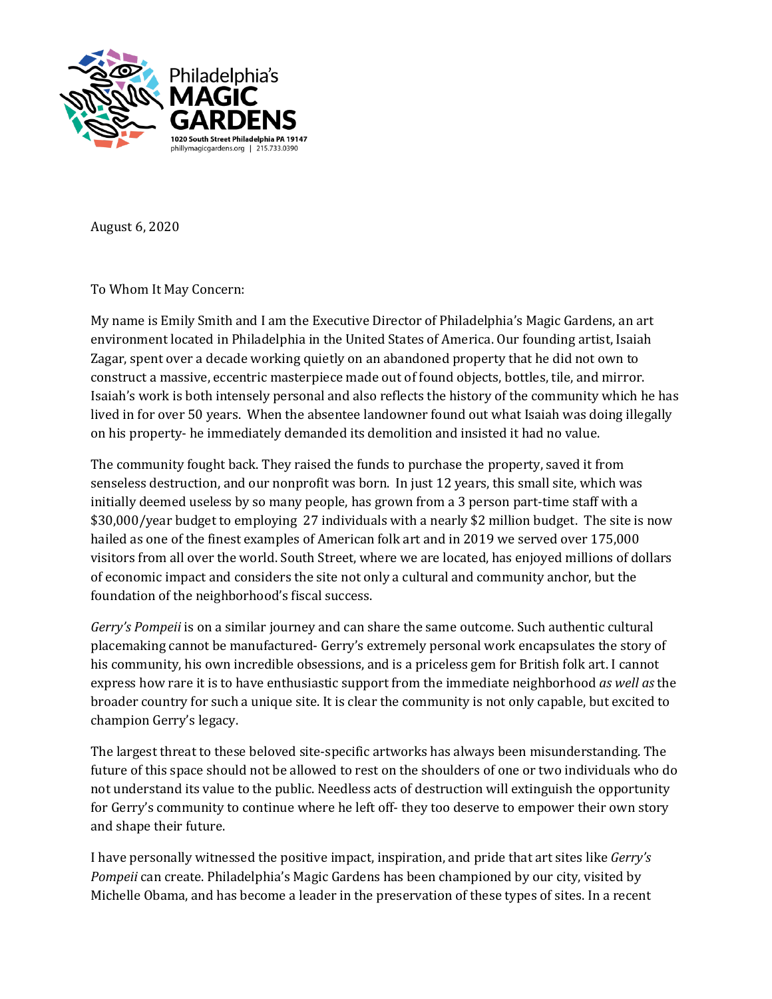

August 6, 2020

To Whom It May Concern:

My name is Emily Smith and I am the Executive Director of Philadelphia's Magic Gardens, an art environment located in Philadelphia in the United States of America. Our founding artist, Isaiah Zagar, spent over a decade working quietly on an abandoned property that he did not own to construct a massive, eccentric masterpiece made out of found objects, bottles, tile, and mirror. Isaiah's work is both intensely personal and also reflects the history of the community which he has lived in for over 50 years. When the absentee landowner found out what Isaiah was doing illegally on his property- he immediately demanded its demolition and insisted it had no value.

The community fought back. They raised the funds to purchase the property, saved it from senseless destruction, and our nonprofit was born. In just 12 years, this small site, which was initially deemed useless by so many people, has grown from a 3 person part-time staff with a \$30,000/year budget to employing 27 individuals with a nearly \$2 million budget. The site is now hailed as one of the finest examples of American folk art and in 2019 we served over 175,000 visitors from all over the world. South Street, where we are located, has enjoyed millions of dollars of economic impact and considers the site not only a cultural and community anchor, but the foundation of the neighborhood's fiscal success.

*Gerry's Pompeii* is on a similar journey and can share the same outcome. Such authentic cultural placemaking cannot be manufactured- Gerry's extremely personal work encapsulates the story of his community, his own incredible obsessions, and is a priceless gem for British folk art. I cannot express how rare it is to have enthusiastic support from the immediate neighborhood *as well as* the broader country for such a unique site. It is clear the community is not only capable, but excited to champion Gerry's legacy.

The largest threat to these beloved site-specific artworks has always been misunderstanding. The future of this space should not be allowed to rest on the shoulders of one or two individuals who do not understand its value to the public. Needless acts of destruction will extinguish the opportunity for Gerry's community to continue where he left off- they too deserve to empower their own story and shape their future.

I have personally witnessed the positive impact, inspiration, and pride that art sites like *Gerry's Pompeii* can create. Philadelphia's Magic Gardens has been championed by our city, visited by Michelle Obama, and has become a leader in the preservation of these types of sites. In a recent